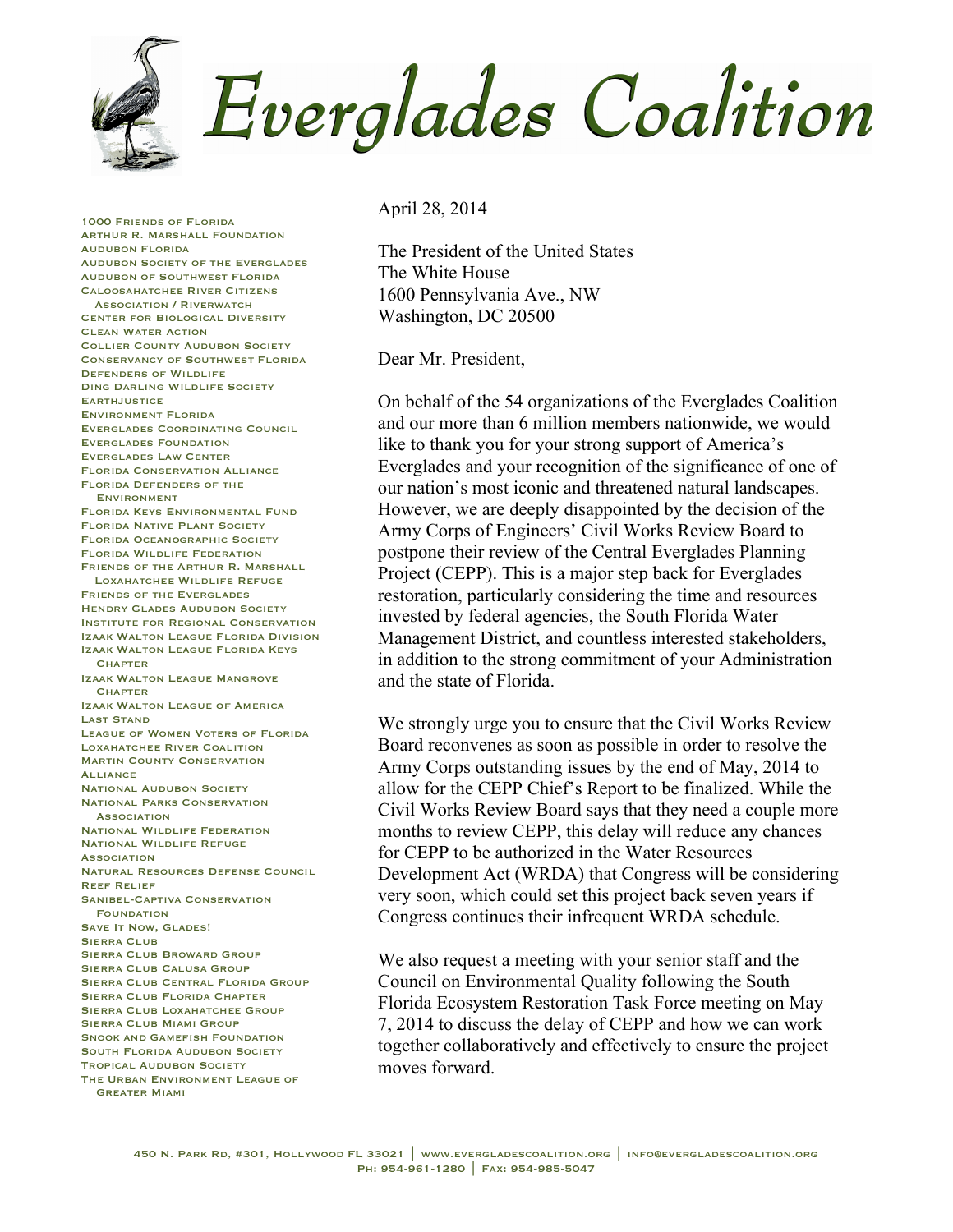

April 28, 2014

The President of the United States The White House 1600 Pennsylvania Ave., NW Washington, DC 20500

Dear Mr. President,

On behalf of the 54 organizations of the Everglades Coalition and our more than 6 million members nationwide, we would like to thank you for your strong support of America's Everglades and your recognition of the significance of one of our nation's most iconic and threatened natural landscapes. However, we are deeply disappointed by the decision of the Army Corps of Engineers' Civil Works Review Board to postpone their review of the Central Everglades Planning Project (CEPP). This is a major step back for Everglades restoration, particularly considering the time and resources invested by federal agencies, the South Florida Water Management District, and countless interested stakeholders, in addition to the strong commitment of your Administration and the state of Florida.

We strongly urge you to ensure that the Civil Works Review Board reconvenes as soon as possible in order to resolve the Army Corps outstanding issues by the end of May, 2014 to allow for the CEPP Chief's Report to be finalized. While the Civil Works Review Board says that they need a couple more months to review CEPP, this delay will reduce any chances for CEPP to be authorized in the Water Resources Development Act (WRDA) that Congress will be considering very soon, which could set this project back seven years if Congress continues their infrequent WRDA schedule.

We also request a meeting with your senior staff and the Council on Environmental Quality following the South Florida Ecosystem Restoration Task Force meeting on May 7, 2014 to discuss the delay of CEPP and how we can work together collaboratively and effectively to ensure the project moves forward.

Audubon Florida Audubon Society of the Everglades Audubon of Southwest Florida Caloosahatchee River Citizens Association / Riverwatch Center for Biological Diversity Clean Water Action Collier County Audubon Society Conservancy of Southwest Florida Defenders of Wildlife Ding Darling Wildlife Society **EARTHJUSTICE** Environment Florida Everglades Coordinating Council Everglades Foundation Everglades Law Center Florida Conservation Alliance Florida Defenders of the Environment Florida Keys Environmental Fund Florida Native Plant Society Florida Oceanographic Society Florida Wildlife Federation Friends of the Arthur R. Marshall Loxahatchee Wildlife Refuge Friends of the Everglades Hendry Glades Audubon Society Institute for Regional Conservation Izaak Walton League Florida Division Izaak Walton League Florida Keys **CHAPTER** Izaak Walton League Mangrove **CHAPTER** Izaak Walton League of America Last Stand League of Women Voters of Florida Loxahatchee River Coalition Martin County Conservation **ALLIANCE** National Audubon Society National Parks Conservation **ASSOCIATION** National Wildlife Federation National Wildlife Refuge **ASSOCIATION** Natural Resources Defense Council Reef Relief Sanibel-Captiva Conservation **FOUNDATION** SAVE IT NOW, GLADES! SIERRA CLUB Sierra Club Broward Group Sierra Club Calusa Group Sierra Club Central Florida Group Sierra Club Florida Chapter SIERRA CLUB LOXAHATCHEE GROUP Sierra Club Miami Group SNOOK AND GAMEFISH FOUNDATION South Florida Audubon Society Tropical Audubon Society The Urban Environment League of

1000 Friends of Florida Arthur R. Marshall Foundation

Greater Miami